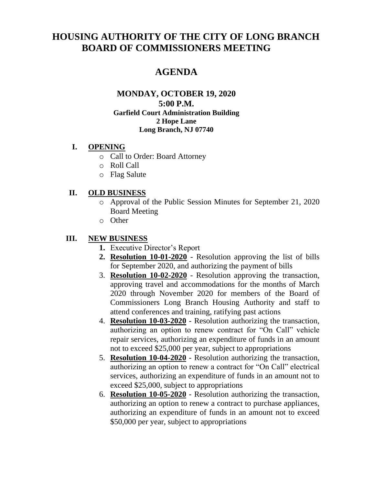# **HOUSING AUTHORITY OF THE CITY OF LONG BRANCH BOARD OF COMMISSIONERS MEETING**

# **AGENDA**

#### **MONDAY, OCTOBER 19, 2020 5:00 P.M. Garfield Court Administration Building 2 Hope Lane Long Branch, NJ 07740**

#### **I. OPENING**

- o Call to Order: Board Attorney
- o Roll Call
- o Flag Salute

## **II. OLD BUSINESS**

- o Approval of the Public Session Minutes for September 21, 2020 Board Meeting
- o Other

## **III. NEW BUSINESS**

- **1.** Executive Director's Report
- **2. Resolution 10-01-2020** Resolution approving the list of bills for September 2020, and authorizing the payment of bills
- 3. **Resolution 10-02-2020** Resolution approving the transaction, approving travel and accommodations for the months of March 2020 through November 2020 for members of the Board of Commissioners Long Branch Housing Authority and staff to attend conferences and training, ratifying past actions
- 4. **Resolution 10-03-2020** Resolution authorizing the transaction, authorizing an option to renew contract for "On Call" vehicle repair services, authorizing an expenditure of funds in an amount not to exceed \$25,000 per year, subject to appropriations
- 5. **Resolution 10-04-2020** Resolution authorizing the transaction, authorizing an option to renew a contract for "On Call" electrical services, authorizing an expenditure of funds in an amount not to exceed \$25,000, subject to appropriations
- 6. **Resolution 10-05-2020** Resolution authorizing the transaction, authorizing an option to renew a contract to purchase appliances, authorizing an expenditure of funds in an amount not to exceed \$50,000 per year, subject to appropriations